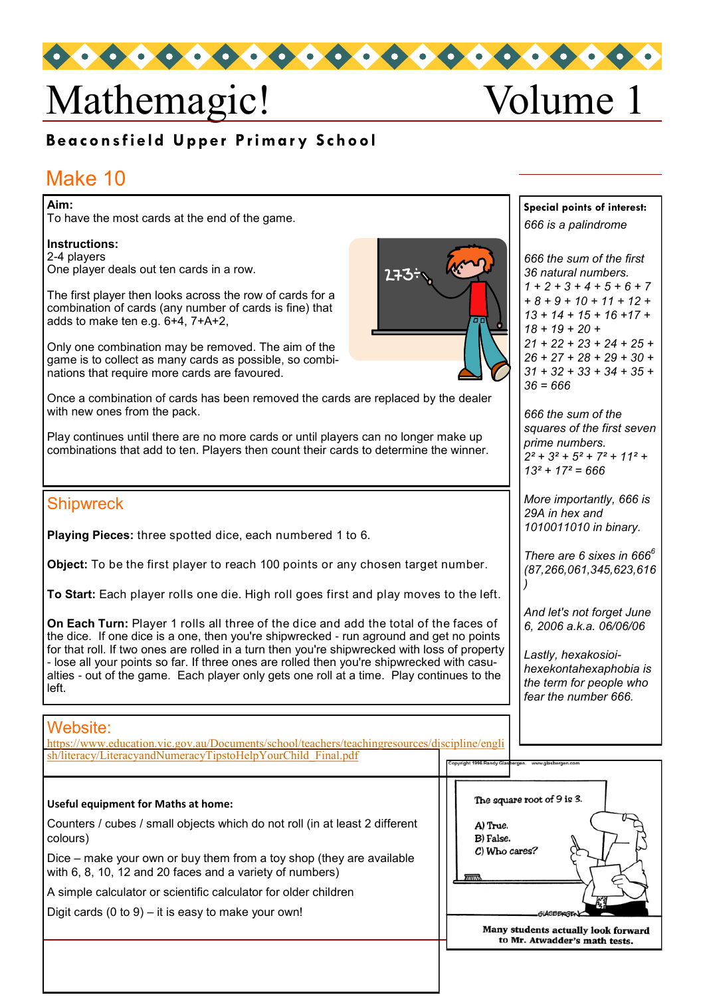# Mathemagic! Volume 1

# **Beaconsfield Upper Primary School**

# Make 10

#### **Aim:**

To have the most cards at the end of the game.

**Instructions:** 2-4 players One player deals out ten cards in a row.

The first player then looks across the row of cards for a combination of cards (any number of cards is fine) that adds to make ten e.g. 6+4, 7+A+2,

Only one combination may be removed. The aim of the game is to collect as many cards as possible, so combinations that require more cards are favoured.

Once a combination of cards has been removed the cards are replaced by the dealer with new ones from the pack.

Play continues until there are no more cards or until players can no longer make up combinations that add to ten. Players then count their cards to determine the winner.

### **Shipwreck**

**Playing Pieces:** three spotted dice, each numbered 1 to 6.

**Object:** To be the first player to reach 100 points or any chosen target number.

**To Start:** Each player rolls one die. High roll goes first and play moves to the left.

**On Each Turn:** Player 1 rolls all three of the dice and add the total of the faces of the dice. If one dice is a one, then you're shipwrecked - run aground and get no points for that roll. If two ones are rolled in a turn then you're shipwrecked with loss of property - lose all your points so far. If three ones are rolled then you're shipwrecked with casualties - out of the game. Each player only gets one roll at a time. Play continues to the left.

#### Website:

| https://www.education.vic.gov.au/Documents/school/teachers/teachingresources/discipline/engli<br>sh/literacy/LiteracyandNumeracyTipstoHelpYourChild Final.pdf                                                                                                                                                                                |                                                                                   |  |  |
|----------------------------------------------------------------------------------------------------------------------------------------------------------------------------------------------------------------------------------------------------------------------------------------------------------------------------------------------|-----------------------------------------------------------------------------------|--|--|
| <b>Useful equipment for Maths at home:</b><br>Counters / cubes / small objects which do not roll (in at least 2 different<br>colours)<br>Dice – make your own or buy them from a toy shop (they are available<br>with 6, 8, 10, 12 and 20 faces and a variety of numbers)<br>A simple calculator or scientific calculator for older children | The square root of 9 is 3.<br>A) True.<br>B) False.<br>C) Who cares?              |  |  |
| Digit cards $(0 to 9) - it$ it is easy to make your own!                                                                                                                                                                                                                                                                                     | GIASBERGE<br>Many students actually look forward<br>to Mr. Atwadder's math tests. |  |  |



*36 natural numbers. 1 + 2 + 3 + 4 + 5 + 6 + 7 + 8 + 9 + 10 + 11 + 12 + 13 + 14 + 15 + 16 +17 + 18 + 19 + 20 + 21 + 22 + 23 + 24 + 25 + 26 + 27 + 28 + 29 + 30 + 31 + 32 + 33 + 34 + 35 +* 

*36 = 666*

**Special points of interest:** *666 is a palindrome*

*666 the sum of the first* 

*666 the sum of the squares of the first seven prime numbers. 2² + 3² + 5² + 7² + 11² + 13² + 17² = 666*

*More importantly, 666 is 29A in hex and 1010011010 in binary.*

*There are 6 sixes in 666<sup>6</sup> (87,266,061,345,623,616 )*

*And let's not forget June 6, 2006 a.k.a. 06/06/06*

*Lastly, hexakosioihexekontahexaphobia is the term for people who fear the number 666.*